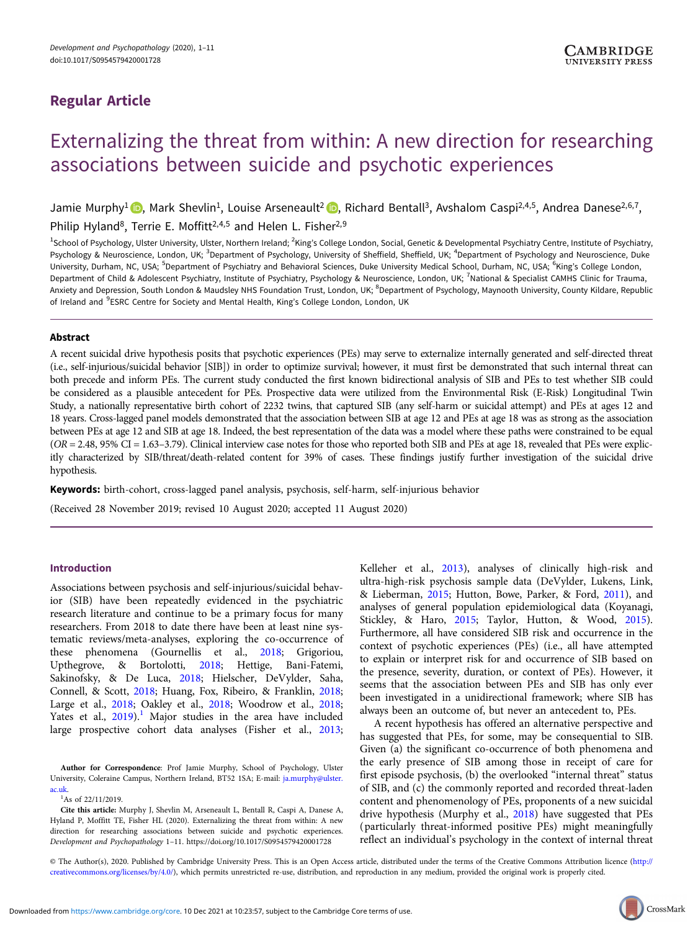## Regular Article

# Externalizing the threat from within: A new direction for researching associations between suicide and psychotic experiences

Jamie Murphy<sup>1</sup> [,](https://orcid.org/0000-0002-2938-2191) Mark Shevlin<sup>1</sup>, Louise Arseneault<sup>2</sup> , Richard Bentall<sup>3</sup>, Avshalom Caspi<sup>2,4,5</sup>, Andrea Danese<sup>2,6,7</sup>, Philip Hyland<sup>8</sup>, Terrie E. Moffitt<sup>2,4,5</sup> and Helen L. Fisher<sup>2,9</sup>

<sup>1</sup>School of Psychology, Ulster University, Ulster, Northern Ireland; <sup>2</sup>King's College London, Social, Genetic & Developmental Psychiatry Centre, Institute of Psychiatry, Psychology & Neuroscience, London, UK; <sup>3</sup>Department of Psychology, University of Sheffield, Sheffield, UK; <sup>4</sup>Department of Psychology and Neuroscience, Duke University, Durham, NC, USA; <sup>5</sup>Department of Psychiatry and Behavioral Sciences, Duke University Medical School, Durham, NC, USA; <sup>6</sup>King's College London, Department of Child & Adolescent Psychiatry, Institute of Psychiatry, Psychology & Neuroscience, London, UK; <sup>7</sup>National & Specialist CAMHS Clinic for Trauma, Anxiety and Depression, South London & Maudsley NHS Foundation Trust, London, UK; <sup>8</sup>Department of Psychology, Maynooth University, County Kildare, Republic of Ireland and <sup>9</sup>ESRC Centre for Society and Mental Health, King's College London, London, UK

#### Abstract

A recent suicidal drive hypothesis posits that psychotic experiences (PEs) may serve to externalize internally generated and self-directed threat (i.e., self-injurious/suicidal behavior [SIB]) in order to optimize survival; however, it must first be demonstrated that such internal threat can both precede and inform PEs. The current study conducted the first known bidirectional analysis of SIB and PEs to test whether SIB could be considered as a plausible antecedent for PEs. Prospective data were utilized from the Environmental Risk (E-Risk) Longitudinal Twin Study, a nationally representative birth cohort of 2232 twins, that captured SIB (any self-harm or suicidal attempt) and PEs at ages 12 and 18 years. Cross-lagged panel models demonstrated that the association between SIB at age 12 and PEs at age 18 was as strong as the association between PEs at age 12 and SIB at age 18. Indeed, the best representation of the data was a model where these paths were constrained to be equal  $(OR = 2.48, 95\% \text{ CI} = 1.63-3.79)$ . Clinical interview case notes for those who reported both SIB and PEs at age 18, revealed that PEs were explicitly characterized by SIB/threat/death-related content for 39% of cases. These findings justify further investigation of the suicidal drive hypothesis.

Keywords: birth-cohort, cross-lagged panel analysis, psychosis, self-harm, self-injurious behavior

(Received 28 November 2019; revised 10 August 2020; accepted 11 August 2020)

## Introduction

Associations between psychosis and self-injurious/suicidal behavior (SIB) have been repeatedly evidenced in the psychiatric research literature and continue to be a primary focus for many researchers. From 2018 to date there have been at least nine systematic reviews/meta-analyses, exploring the co-occurrence of these phenomena (Gournellis et al., [2018;](#page-9-0) Grigoriou, Upthegrove, & Bortolotti, [2018;](#page-9-0) Hettige, Bani-Fatemi, Sakinofsky, & De Luca, [2018;](#page-9-0) Hielscher, DeVylder, Saha, Connell, & Scott, [2018;](#page-9-0) Huang, Fox, Ribeiro, & Franklin, [2018;](#page-9-0) Large et al., [2018](#page-10-0); Oakley et al., [2018;](#page-10-0) Woodrow et al., [2018;](#page-10-0) Yates et al.,  $2019$ ).<sup>1</sup> Major studies in the area have included large prospective cohort data analyses (Fisher et al., [2013;](#page-9-0)

Author for Correspondence: Prof Jamie Murphy, School of Psychology, Ulster University, Coleraine Campus, Northern Ireland, BT52 1SA; E-mail: [ja.murphy@ulster.](mailto:ja.murphy@ulster.ac.uk) [ac.uk.](mailto:ja.murphy@ulster.ac.uk)

 $^{1}$ As of 22/11/2019.

Cite this article: Murphy J, Shevlin M, Arseneault L, Bentall R, Caspi A, Danese A, Hyland P, Moffitt TE, Fisher HL (2020). Externalizing the threat from within: A new direction for researching associations between suicide and psychotic experiences. Development and Psychopathology 1–11.<https://doi.org/10.1017/S0954579420001728>

Kelleher et al., [2013](#page-9-0)), analyses of clinically high-risk and ultra-high-risk psychosis sample data (DeVylder, Lukens, Link, & Lieberman, [2015;](#page-9-0) Hutton, Bowe, Parker, & Ford, [2011\)](#page-9-0), and analyses of general population epidemiological data (Koyanagi, Stickley, & Haro, [2015](#page-9-0); Taylor, Hutton, & Wood, [2015](#page-10-0)). Furthermore, all have considered SIB risk and occurrence in the context of psychotic experiences (PEs) (i.e., all have attempted to explain or interpret risk for and occurrence of SIB based on the presence, severity, duration, or context of PEs). However, it seems that the association between PEs and SIB has only ever been investigated in a unidirectional framework; where SIB has always been an outcome of, but never an antecedent to, PEs.

A recent hypothesis has offered an alternative perspective and has suggested that PEs, for some, may be consequential to SIB. Given (a) the significant co-occurrence of both phenomena and the early presence of SIB among those in receipt of care for first episode psychosis, (b) the overlooked "internal threat" status of SIB, and (c) the commonly reported and recorded threat-laden content and phenomenology of PEs, proponents of a new suicidal drive hypothesis (Murphy et al., [2018\)](#page-10-0) have suggested that PEs (particularly threat-informed positive PEs) might meaningfully reflect an individual's psychology in the context of internal threat

© The Author(s), 2020. Published by Cambridge University Press. This is an Open Access article, distributed under the terms of the Creative Commons Attribution licence ([http://](http://creativecommons.org/licenses/by/4.0/) [creativecommons.org/licenses/by/4.0/](http://creativecommons.org/licenses/by/4.0/)), which permits unrestricted re-use, distribution, and reproduction in any medium, provided the original work is properly cited.

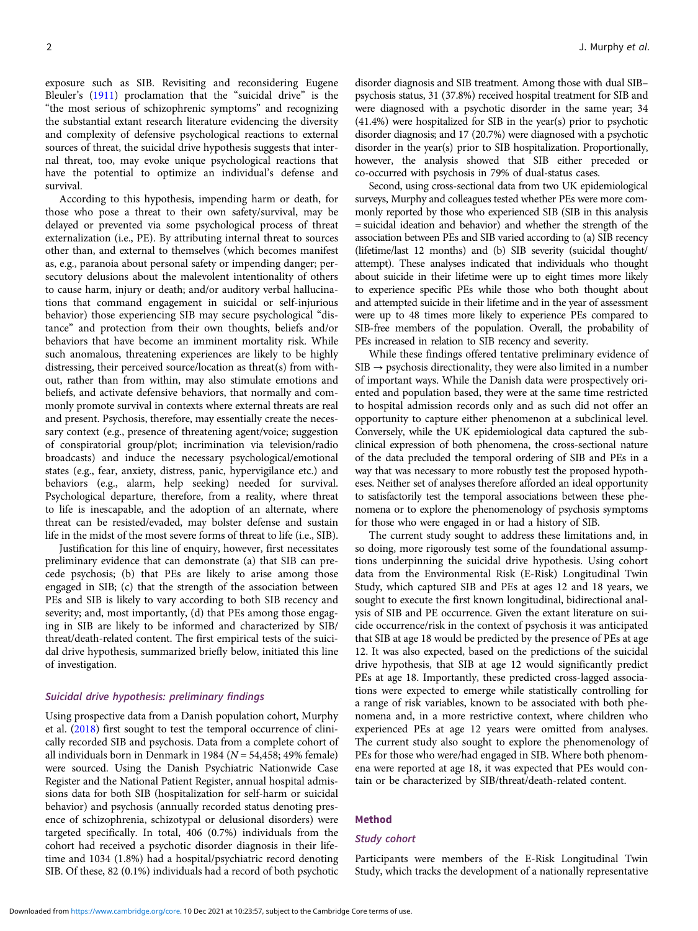exposure such as SIB. Revisiting and reconsidering Eugene Bleuler's [\(1911](#page-9-0)) proclamation that the "suicidal drive" is the "the most serious of schizophrenic symptoms" and recognizing the substantial extant research literature evidencing the diversity and complexity of defensive psychological reactions to external sources of threat, the suicidal drive hypothesis suggests that internal threat, too, may evoke unique psychological reactions that have the potential to optimize an individual's defense and survival.

According to this hypothesis, impending harm or death, for those who pose a threat to their own safety/survival, may be delayed or prevented via some psychological process of threat externalization (i.e., PE). By attributing internal threat to sources other than, and external to themselves (which becomes manifest as, e.g., paranoia about personal safety or impending danger; persecutory delusions about the malevolent intentionality of others to cause harm, injury or death; and/or auditory verbal hallucinations that command engagement in suicidal or self-injurious behavior) those experiencing SIB may secure psychological "distance" and protection from their own thoughts, beliefs and/or behaviors that have become an imminent mortality risk. While such anomalous, threatening experiences are likely to be highly distressing, their perceived source/location as threat(s) from without, rather than from within, may also stimulate emotions and beliefs, and activate defensive behaviors, that normally and commonly promote survival in contexts where external threats are real and present. Psychosis, therefore, may essentially create the necessary context (e.g., presence of threatening agent/voice; suggestion of conspiratorial group/plot; incrimination via television/radio broadcasts) and induce the necessary psychological/emotional states (e.g., fear, anxiety, distress, panic, hypervigilance etc.) and behaviors (e.g., alarm, help seeking) needed for survival. Psychological departure, therefore, from a reality, where threat to life is inescapable, and the adoption of an alternate, where threat can be resisted/evaded, may bolster defense and sustain life in the midst of the most severe forms of threat to life (i.e., SIB).

Justification for this line of enquiry, however, first necessitates preliminary evidence that can demonstrate (a) that SIB can precede psychosis; (b) that PEs are likely to arise among those engaged in SIB; (c) that the strength of the association between PEs and SIB is likely to vary according to both SIB recency and severity; and, most importantly, (d) that PEs among those engaging in SIB are likely to be informed and characterized by SIB/ threat/death-related content. The first empirical tests of the suicidal drive hypothesis, summarized briefly below, initiated this line of investigation.

#### Suicidal drive hypothesis: preliminary findings

Using prospective data from a Danish population cohort, Murphy et al. [\(2018](#page-10-0)) first sought to test the temporal occurrence of clinically recorded SIB and psychosis. Data from a complete cohort of all individuals born in Denmark in 1984 ( $N = 54,458$ ; 49% female) were sourced. Using the Danish Psychiatric Nationwide Case Register and the National Patient Register, annual hospital admissions data for both SIB (hospitalization for self-harm or suicidal behavior) and psychosis (annually recorded status denoting presence of schizophrenia, schizotypal or delusional disorders) were targeted specifically. In total, 406 (0.7%) individuals from the cohort had received a psychotic disorder diagnosis in their lifetime and 1034 (1.8%) had a hospital/psychiatric record denoting SIB. Of these, 82 (0.1%) individuals had a record of both psychotic

disorder diagnosis and SIB treatment. Among those with dual SIB– psychosis status, 31 (37.8%) received hospital treatment for SIB and were diagnosed with a psychotic disorder in the same year; 34 (41.4%) were hospitalized for SIB in the year(s) prior to psychotic disorder diagnosis; and 17 (20.7%) were diagnosed with a psychotic disorder in the year(s) prior to SIB hospitalization. Proportionally, however, the analysis showed that SIB either preceded or co-occurred with psychosis in 79% of dual-status cases.

Second, using cross-sectional data from two UK epidemiological surveys, Murphy and colleagues tested whether PEs were more commonly reported by those who experienced SIB (SIB in this analysis = suicidal ideation and behavior) and whether the strength of the association between PEs and SIB varied according to (a) SIB recency (lifetime/last 12 months) and (b) SIB severity (suicidal thought/ attempt). These analyses indicated that individuals who thought about suicide in their lifetime were up to eight times more likely to experience specific PEs while those who both thought about and attempted suicide in their lifetime and in the year of assessment were up to 48 times more likely to experience PEs compared to SIB-free members of the population. Overall, the probability of PEs increased in relation to SIB recency and severity.

While these findings offered tentative preliminary evidence of  $SIB \rightarrow$  psychosis directionality, they were also limited in a number of important ways. While the Danish data were prospectively oriented and population based, they were at the same time restricted to hospital admission records only and as such did not offer an opportunity to capture either phenomenon at a subclinical level. Conversely, while the UK epidemiological data captured the subclinical expression of both phenomena, the cross-sectional nature of the data precluded the temporal ordering of SIB and PEs in a way that was necessary to more robustly test the proposed hypotheses. Neither set of analyses therefore afforded an ideal opportunity to satisfactorily test the temporal associations between these phenomena or to explore the phenomenology of psychosis symptoms for those who were engaged in or had a history of SIB.

The current study sought to address these limitations and, in so doing, more rigorously test some of the foundational assumptions underpinning the suicidal drive hypothesis. Using cohort data from the Environmental Risk (E-Risk) Longitudinal Twin Study, which captured SIB and PEs at ages 12 and 18 years, we sought to execute the first known longitudinal, bidirectional analysis of SIB and PE occurrence. Given the extant literature on suicide occurrence/risk in the context of psychosis it was anticipated that SIB at age 18 would be predicted by the presence of PEs at age 12. It was also expected, based on the predictions of the suicidal drive hypothesis, that SIB at age 12 would significantly predict PEs at age 18. Importantly, these predicted cross-lagged associations were expected to emerge while statistically controlling for a range of risk variables, known to be associated with both phenomena and, in a more restrictive context, where children who experienced PEs at age 12 years were omitted from analyses. The current study also sought to explore the phenomenology of PEs for those who were/had engaged in SIB. Where both phenomena were reported at age 18, it was expected that PEs would contain or be characterized by SIB/threat/death-related content.

## Method

#### Study cohort

Participants were members of the E-Risk Longitudinal Twin Study, which tracks the development of a nationally representative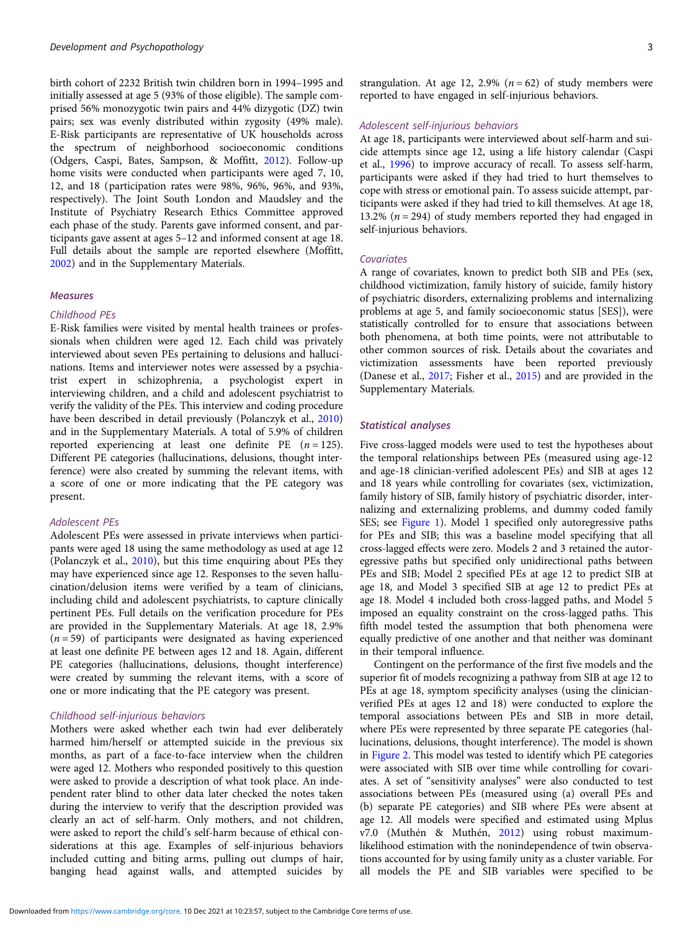birth cohort of 2232 British twin children born in 1994–1995 and initially assessed at age 5 (93% of those eligible). The sample comprised 56% monozygotic twin pairs and 44% dizygotic (DZ) twin pairs; sex was evenly distributed within zygosity (49% male). E-Risk participants are representative of UK households across the spectrum of neighborhood socioeconomic conditions (Odgers, Caspi, Bates, Sampson, & Moffitt, [2012\)](#page-10-0). Follow-up home visits were conducted when participants were aged 7, 10, 12, and 18 (participation rates were 98%, 96%, 96%, and 93%, respectively). The Joint South London and Maudsley and the Institute of Psychiatry Research Ethics Committee approved each phase of the study. Parents gave informed consent, and participants gave assent at ages 5–12 and informed consent at age 18. Full details about the sample are reported elsewhere (Moffitt, [2002\)](#page-10-0) and in the Supplementary Materials.

#### **Measures**

#### Childhood PEs

E-Risk families were visited by mental health trainees or professionals when children were aged 12. Each child was privately interviewed about seven PEs pertaining to delusions and hallucinations. Items and interviewer notes were assessed by a psychiatrist expert in schizophrenia, a psychologist expert in interviewing children, and a child and adolescent psychiatrist to verify the validity of the PEs. This interview and coding procedure have been described in detail previously (Polanczyk et al., [2010\)](#page-10-0) and in the Supplementary Materials. A total of 5.9% of children reported experiencing at least one definite PE  $(n = 125)$ . Different PE categories (hallucinations, delusions, thought interference) were also created by summing the relevant items, with a score of one or more indicating that the PE category was present.

#### Adolescent PEs

Adolescent PEs were assessed in private interviews when participants were aged 18 using the same methodology as used at age 12 (Polanczyk et al., [2010](#page-10-0)), but this time enquiring about PEs they may have experienced since age 12. Responses to the seven hallucination/delusion items were verified by a team of clinicians, including child and adolescent psychiatrists, to capture clinically pertinent PEs. Full details on the verification procedure for PEs are provided in the Supplementary Materials. At age 18, 2.9%  $(n = 59)$  of participants were designated as having experienced at least one definite PE between ages 12 and 18. Again, different PE categories (hallucinations, delusions, thought interference) were created by summing the relevant items, with a score of one or more indicating that the PE category was present.

#### Childhood self-injurious behaviors

Mothers were asked whether each twin had ever deliberately harmed him/herself or attempted suicide in the previous six months, as part of a face-to-face interview when the children were aged 12. Mothers who responded positively to this question were asked to provide a description of what took place. An independent rater blind to other data later checked the notes taken during the interview to verify that the description provided was clearly an act of self-harm. Only mothers, and not children, were asked to report the child's self-harm because of ethical considerations at this age. Examples of self-injurious behaviors included cutting and biting arms, pulling out clumps of hair, banging head against walls, and attempted suicides by strangulation. At age 12, 2.9% ( $n = 62$ ) of study members were reported to have engaged in self-injurious behaviors.

#### Adolescent self-injurious behaviors

At age 18, participants were interviewed about self-harm and suicide attempts since age 12, using a life history calendar (Caspi et al., [1996\)](#page-9-0) to improve accuracy of recall. To assess self-harm, participants were asked if they had tried to hurt themselves to cope with stress or emotional pain. To assess suicide attempt, participants were asked if they had tried to kill themselves. At age 18, 13.2% ( $n = 294$ ) of study members reported they had engaged in self-injurious behaviors.

#### Covariates

A range of covariates, known to predict both SIB and PEs (sex, childhood victimization, family history of suicide, family history of psychiatric disorders, externalizing problems and internalizing problems at age 5, and family socioeconomic status [SES]), were statistically controlled for to ensure that associations between both phenomena, at both time points, were not attributable to other common sources of risk. Details about the covariates and victimization assessments have been reported previously (Danese et al., [2017;](#page-9-0) Fisher et al., [2015](#page-9-0)) and are provided in the Supplementary Materials.

#### Statistical analyses

Five cross-lagged models were used to test the hypotheses about the temporal relationships between PEs (measured using age-12 and age-18 clinician-verified adolescent PEs) and SIB at ages 12 and 18 years while controlling for covariates (sex, victimization, family history of SIB, family history of psychiatric disorder, internalizing and externalizing problems, and dummy coded family SES; see [Figure 1](#page-3-0)). Model 1 specified only autoregressive paths for PEs and SIB; this was a baseline model specifying that all cross-lagged effects were zero. Models 2 and 3 retained the autoregressive paths but specified only unidirectional paths between PEs and SIB; Model 2 specified PEs at age 12 to predict SIB at age 18, and Model 3 specified SIB at age 12 to predict PEs at age 18. Model 4 included both cross-lagged paths, and Model 5 imposed an equality constraint on the cross-lagged paths. This fifth model tested the assumption that both phenomena were equally predictive of one another and that neither was dominant in their temporal influence.

Contingent on the performance of the first five models and the superior fit of models recognizing a pathway from SIB at age 12 to PEs at age 18, symptom specificity analyses (using the clinicianverified PEs at ages 12 and 18) were conducted to explore the temporal associations between PEs and SIB in more detail, where PEs were represented by three separate PE categories (hallucinations, delusions, thought interference). The model is shown in [Figure 2](#page-3-0). This model was tested to identify which PE categories were associated with SIB over time while controlling for covariates. A set of "sensitivity analyses" were also conducted to test associations between PEs (measured using (a) overall PEs and (b) separate PE categories) and SIB where PEs were absent at age 12. All models were specified and estimated using Mplus v7.0 (Muthén & Muthén, [2012\)](#page-10-0) using robust maximumlikelihood estimation with the nonindependence of twin observations accounted for by using family unity as a cluster variable. For all models the PE and SIB variables were specified to be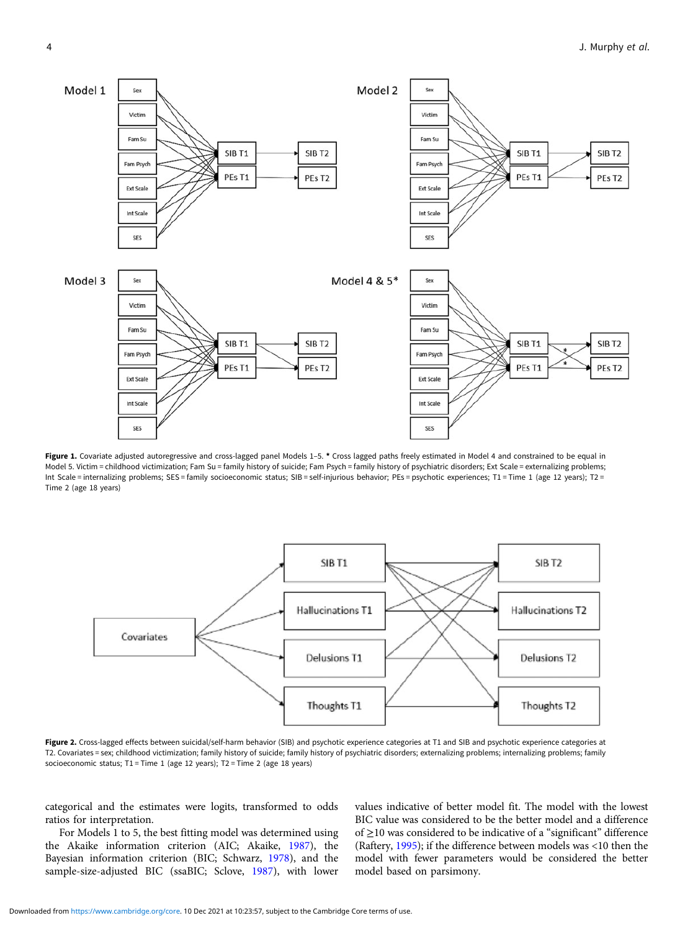<span id="page-3-0"></span>

Figure 1. Covariate adjusted autoregressive and cross-lagged panel Models 1-5. \* Cross lagged paths freely estimated in Model 4 and constrained to be equal in Model 5. Victim = childhood victimization; Fam Su = family history of suicide; Fam Psych = family history of psychiatric disorders; Ext Scale = externalizing problems; Int Scale = internalizing problems; SES = family socioeconomic status; SIB = self-injurious behavior; PEs = psychotic experiences; T1 = Time 1 (age 12 years); T2 = Time 2 (age 18 years)



Figure 2. Cross-lagged effects between suicidal/self-harm behavior (SIB) and psychotic experience categories at T1 and SIB and psychotic experience categories at T2. Covariates = sex; childhood victimization; family history of suicide; family history of psychiatric disorders; externalizing problems; internalizing problems; family socioeconomic status; T1 = Time 1 (age 12 years); T2 = Time 2 (age 18 years)

categorical and the estimates were logits, transformed to odds ratios for interpretation.

For Models 1 to 5, the best fitting model was determined using the Akaike information criterion (AIC; Akaike, [1987\)](#page-8-0), the Bayesian information criterion (BIC; Schwarz, [1978](#page-10-0)), and the sample-size-adjusted BIC (ssaBIC; Sclove, [1987](#page-10-0)), with lower

values indicative of better model fit. The model with the lowest BIC value was considered to be the better model and a difference of ≥10 was considered to be indicative of a "significant" difference (Raftery, [1995](#page-10-0)); if the difference between models was <10 then the model with fewer parameters would be considered the better model based on parsimony.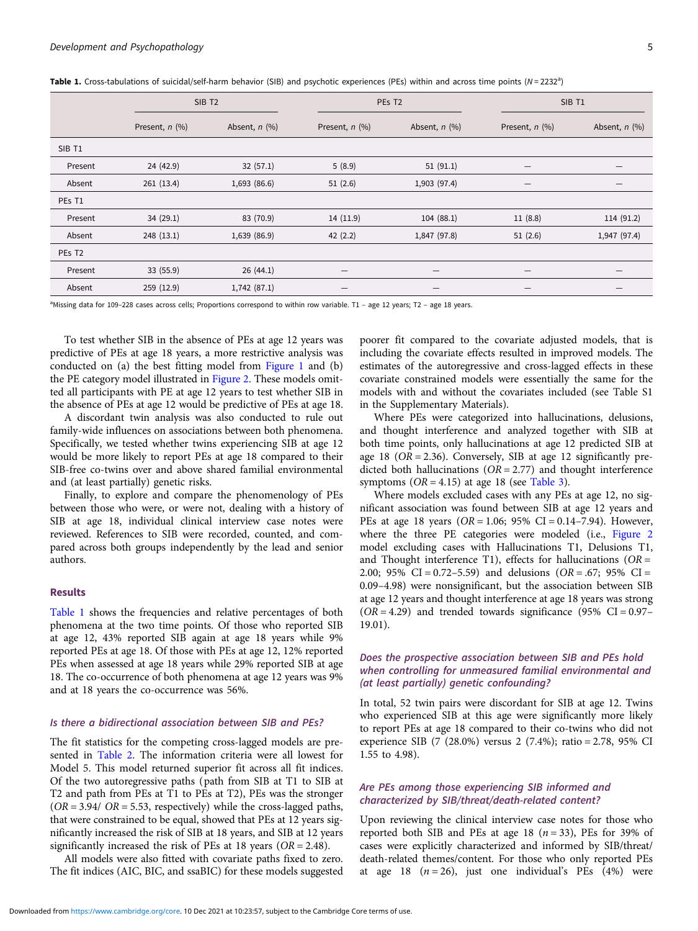|                    | SIB <sub>T2</sub> |                    |                  | PEs T <sub>2</sub>       |                  | SIB <sub>T1</sub>  |  |
|--------------------|-------------------|--------------------|------------------|--------------------------|------------------|--------------------|--|
|                    | Present, $n$ (%)  | Absent, $n$ $(\%)$ | Present, $n$ (%) | Absent, $n$ $(\%)$       | Present, $n$ (%) | Absent, $n$ $(\%)$ |  |
| SIB <sub>T1</sub>  |                   |                    |                  |                          |                  |                    |  |
| Present            | 24 (42.9)         | 32(57.1)           | 5(8.9)           | 51(91.1)                 | —                |                    |  |
| Absent             | 261(13.4)         | 1,693 (86.6)       | 51(2.6)          | 1,903 (97.4)             | —                |                    |  |
| PEs T1             |                   |                    |                  |                          |                  |                    |  |
| Present            | 34(29.1)          | 83 (70.9)          | 14(11.9)         | 104(88.1)                | 11(8.8)          | 114 (91.2)         |  |
| Absent             | 248 (13.1)        | 1,639 (86.9)       | 42(2.2)          | 1,847 (97.8)             | 51(2.6)          | 1,947 (97.4)       |  |
| PEs T <sub>2</sub> |                   |                    |                  |                          |                  |                    |  |
| Present            | 33 (55.9)         | 26(44.1)           |                  | $\overline{\phantom{0}}$ |                  |                    |  |
| Absent             | 259 (12.9)        | 1,742 (87.1)       |                  |                          |                  |                    |  |

Table 1. Cross-tabulations of suicidal/self-harm behavior (SIB) and psychotic experiences (PEs) within and across time points (N = 2232<sup>a</sup>)

a<br>Missing data for 109-228 cases across cells; Proportions correspond to within row variable. T1 - age 12 years; T2 - age 18 years.

To test whether SIB in the absence of PEs at age 12 years was predictive of PEs at age 18 years, a more restrictive analysis was conducted on (a) the best fitting model from [Figure 1](#page-3-0) and (b) the PE category model illustrated in [Figure 2.](#page-3-0) These models omitted all participants with PE at age 12 years to test whether SIB in the absence of PEs at age 12 would be predictive of PEs at age 18.

A discordant twin analysis was also conducted to rule out family-wide influences on associations between both phenomena. Specifically, we tested whether twins experiencing SIB at age 12 would be more likely to report PEs at age 18 compared to their SIB-free co-twins over and above shared familial environmental and (at least partially) genetic risks.

Finally, to explore and compare the phenomenology of PEs between those who were, or were not, dealing with a history of SIB at age 18, individual clinical interview case notes were reviewed. References to SIB were recorded, counted, and compared across both groups independently by the lead and senior authors.

## Results

Table 1 shows the frequencies and relative percentages of both phenomena at the two time points. Of those who reported SIB at age 12, 43% reported SIB again at age 18 years while 9% reported PEs at age 18. Of those with PEs at age 12, 12% reported PEs when assessed at age 18 years while 29% reported SIB at age 18. The co-occurrence of both phenomena at age 12 years was 9% and at 18 years the co-occurrence was 56%.

## Is there a bidirectional association between SIB and PEs?

The fit statistics for the competing cross-lagged models are presented in [Table 2.](#page-5-0) The information criteria were all lowest for Model 5. This model returned superior fit across all fit indices. Of the two autoregressive paths (path from SIB at T1 to SIB at T2 and path from PEs at T1 to PEs at T2), PEs was the stronger  $(OR = 3.94 / OR = 5.53, respectively)$  while the cross-lagged paths, that were constrained to be equal, showed that PEs at 12 years significantly increased the risk of SIB at 18 years, and SIB at 12 years significantly increased the risk of PEs at 18 years  $(OR = 2.48)$ .

All models were also fitted with covariate paths fixed to zero. The fit indices (AIC, BIC, and ssaBIC) for these models suggested poorer fit compared to the covariate adjusted models, that is including the covariate effects resulted in improved models. The estimates of the autoregressive and cross-lagged effects in these covariate constrained models were essentially the same for the models with and without the covariates included (see Table S1 in the Supplementary Materials).

Where PEs were categorized into hallucinations, delusions, and thought interference and analyzed together with SIB at both time points, only hallucinations at age 12 predicted SIB at age 18 ( $OR = 2.36$ ). Conversely, SIB at age 12 significantly predicted both hallucinations  $(OR = 2.77)$  and thought interference symptoms  $(OR = 4.15)$  at age 18 (see [Table 3\)](#page-5-0).

Where models excluded cases with any PEs at age 12, no significant association was found between SIB at age 12 years and PEs at age 18 years  $(OR = 1.06; 95\% \text{ CI} = 0.14-7.94)$ . However, where the three PE categories were modeled (i.e., [Figure 2](#page-3-0) model excluding cases with Hallucinations T1, Delusions T1, and Thought interference T1), effects for hallucinations ( $OR =$ 2.00; 95% CI =  $0.72-5.59$ ) and delusions (OR = .67; 95% CI = 0.09–4.98) were nonsignificant, but the association between SIB at age 12 years and thought interference at age 18 years was strong  $(OR = 4.29)$  and trended towards significance  $(95\% \text{ CI} = 0.97-$ 19.01).

## Does the prospective association between SIB and PEs hold when controlling for unmeasured familial environmental and (at least partially) genetic confounding?

In total, 52 twin pairs were discordant for SIB at age 12. Twins who experienced SIB at this age were significantly more likely to report PEs at age 18 compared to their co-twins who did not experience SIB (7 (28.0%) versus 2 (7.4%); ratio = 2.78, 95% CI 1.55 to 4.98).

## Are PEs among those experiencing SIB informed and characterized by SIB/threat/death-related content?

Upon reviewing the clinical interview case notes for those who reported both SIB and PEs at age 18 ( $n = 33$ ), PEs for 39% of cases were explicitly characterized and informed by SIB/threat/ death-related themes/content. For those who only reported PEs at age 18  $(n = 26)$ , just one individual's PEs  $(4%)$  were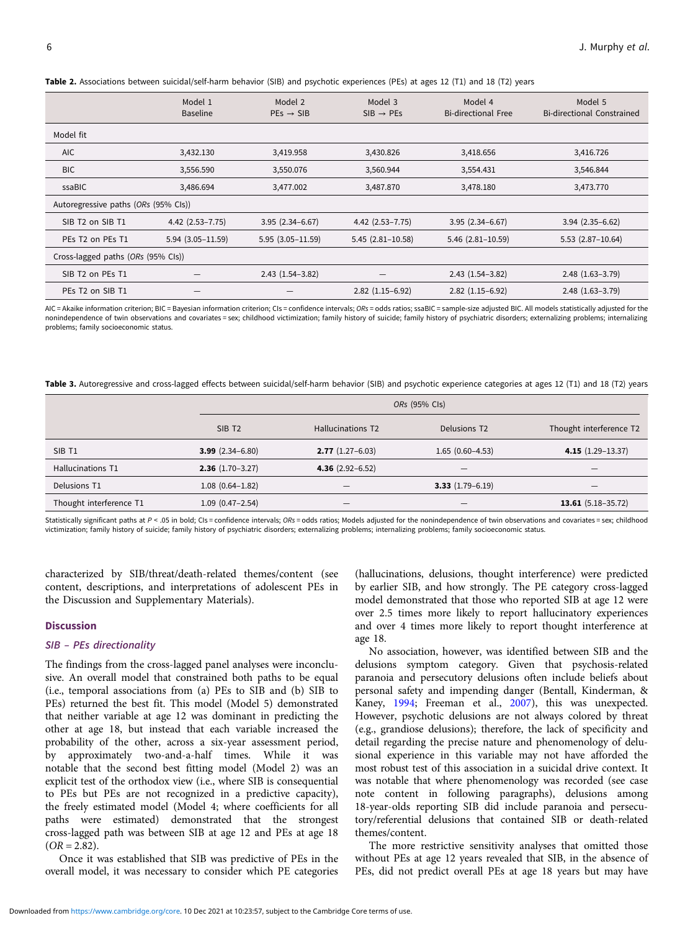<span id="page-5-0"></span>Table 2. Associations between suicidal/self-harm behavior (SIB) and psychotic experiences (PEs) at ages 12 (T1) and 18 (T2) years

|                                          | Model 1<br><b>Baseline</b> | Model 2<br>$PEs \rightarrow SIB$ | Model 3<br>$SIB \rightarrow PEs$ | Model 4<br><b>Bi-directional Free</b> | Model 5<br><b>Bi-directional Constrained</b> |  |  |
|------------------------------------------|----------------------------|----------------------------------|----------------------------------|---------------------------------------|----------------------------------------------|--|--|
| Model fit                                |                            |                                  |                                  |                                       |                                              |  |  |
| AIC                                      | 3,432.130                  | 3,419.958                        | 3,430.826                        | 3,418.656                             | 3,416.726                                    |  |  |
| <b>BIC</b>                               | 3,556.590                  | 3,550.076                        | 3,560.944                        | 3,554.431                             | 3,546.844                                    |  |  |
| ssaBIC                                   | 3,486.694                  | 3,477.002                        | 3,487.870                        | 3,478.180                             | 3,473.770                                    |  |  |
| Autoregressive paths (ORs (95% CIs))     |                            |                                  |                                  |                                       |                                              |  |  |
| SIB T2 on SIB T1                         | $4.42$ $(2.53 - 7.75)$     | $3.95(2.34 - 6.67)$              | $4.42(2.53 - 7.75)$              | $3.95(2.34 - 6.67)$                   | $3.94(2.35 - 6.62)$                          |  |  |
| PEs T <sub>2</sub> on PEs T <sub>1</sub> | $5.94(3.05-11.59)$         | $5.95(3.05-11.59)$               | $5.45(2.81-10.58)$               | $5.46$ $(2.81 - 10.59)$               | $5.53$ $(2.87-10.64)$                        |  |  |
| Cross-lagged paths (ORs (95% CIs))       |                            |                                  |                                  |                                       |                                              |  |  |
| SIB T2 on PEs T1                         |                            | $2.43(1.54 - 3.82)$              |                                  | $2.43(1.54 - 3.82)$                   | $2.48$ $(1.63 - 3.79)$                       |  |  |
| PEs T <sub>2</sub> on SIB T <sub>1</sub> |                            |                                  | $2.82(1.15-6.92)$                | $2.82$ (1.15-6.92)                    | $2.48$ $(1.63 - 3.79)$                       |  |  |

AIC = Akaike information criterion; BIC = Bayesian information criterion; CIs = confidence intervals; ORs = odds ratios; ssaBIC = sample-size adjusted BIC. All models statistically adjusted for the nonindependence of twin observations and covariates = sex; childhood victimization; family history of suicide; family history of psychiatric disorders; externalizing problems; internalizing problems; family socioeconomic status.

Table 3. Autoregressive and cross-lagged effects between suicidal/self-harm behavior (SIB) and psychotic experience categories at ages 12 (T1) and 18 (T2) years

|                         |                     | ORs (95% CIs)            |                   |                         |  |  |
|-------------------------|---------------------|--------------------------|-------------------|-------------------------|--|--|
|                         | SIB <sub>T2</sub>   | <b>Hallucinations T2</b> | Delusions T2      | Thought interference T2 |  |  |
| SIB T1                  | $3.99(2.34 - 6.80)$ | $2.77(1.27 - 6.03)$      | $1.65(0.60-4.53)$ | 4.15 $(1.29-13.37)$     |  |  |
| Hallucinations T1       | $2.36(1.70-3.27)$   | $4.36$ (2.92-6.52)       | –                 | –                       |  |  |
| Delusions T1            | $1.08(0.64 - 1.82)$ | -                        | $3.33(1.79-6.19)$ | -                       |  |  |
| Thought interference T1 | $1.09(0.47-2.54)$   | -                        |                   | $13.61$ (5.18-35.72)    |  |  |

Statistically significant paths at P < .05 in bold; CIs = confidence intervals; ORs = odds ratios; Models adjusted for the nonindependence of twin observations and covariates = sex; childhood victimization; family history of suicide; family history of psychiatric disorders; externalizing problems; internalizing problems; family socioeconomic status.

characterized by SIB/threat/death-related themes/content (see content, descriptions, and interpretations of adolescent PEs in the Discussion and Supplementary Materials).

#### **Discussion**

## SIB – PEs directionality

The findings from the cross-lagged panel analyses were inconclusive. An overall model that constrained both paths to be equal (i.e., temporal associations from (a) PEs to SIB and (b) SIB to PEs) returned the best fit. This model (Model 5) demonstrated that neither variable at age 12 was dominant in predicting the other at age 18, but instead that each variable increased the probability of the other, across a six-year assessment period, by approximately two-and-a-half times. While it was notable that the second best fitting model (Model 2) was an explicit test of the orthodox view (i.e., where SIB is consequential to PEs but PEs are not recognized in a predictive capacity), the freely estimated model (Model 4; where coefficients for all paths were estimated) demonstrated that the strongest cross-lagged path was between SIB at age 12 and PEs at age 18  $(OR = 2.82)$ .

Once it was established that SIB was predictive of PEs in the overall model, it was necessary to consider which PE categories

(hallucinations, delusions, thought interference) were predicted by earlier SIB, and how strongly. The PE category cross-lagged model demonstrated that those who reported SIB at age 12 were over 2.5 times more likely to report hallucinatory experiences and over 4 times more likely to report thought interference at age 18.

No association, however, was identified between SIB and the delusions symptom category. Given that psychosis-related paranoia and persecutory delusions often include beliefs about personal safety and impending danger (Bentall, Kinderman, & Kaney, [1994;](#page-9-0) Freeman et al., [2007](#page-9-0)), this was unexpected. However, psychotic delusions are not always colored by threat (e.g., grandiose delusions); therefore, the lack of specificity and detail regarding the precise nature and phenomenology of delusional experience in this variable may not have afforded the most robust test of this association in a suicidal drive context. It was notable that where phenomenology was recorded (see case note content in following paragraphs), delusions among 18-year-olds reporting SIB did include paranoia and persecutory/referential delusions that contained SIB or death-related themes/content.

The more restrictive sensitivity analyses that omitted those without PEs at age 12 years revealed that SIB, in the absence of PEs, did not predict overall PEs at age 18 years but may have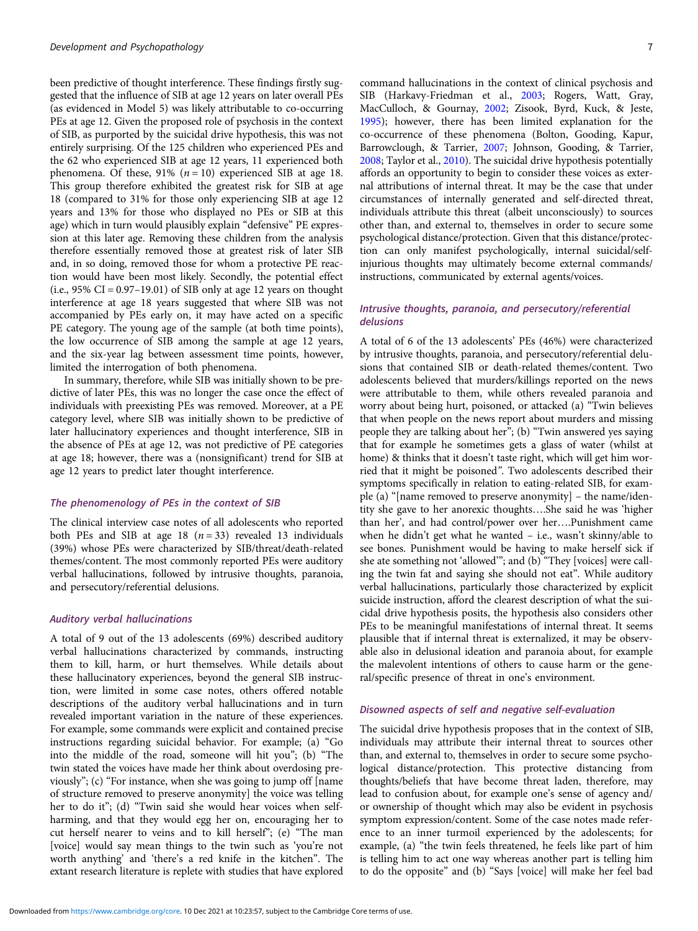been predictive of thought interference. These findings firstly suggested that the influence of SIB at age 12 years on later overall PEs (as evidenced in Model 5) was likely attributable to co-occurring PEs at age 12. Given the proposed role of psychosis in the context of SIB, as purported by the suicidal drive hypothesis, this was not entirely surprising. Of the 125 children who experienced PEs and the 62 who experienced SIB at age 12 years, 11 experienced both phenomena. Of these, 91%  $(n = 10)$  experienced SIB at age 18. This group therefore exhibited the greatest risk for SIB at age 18 (compared to 31% for those only experiencing SIB at age 12 years and 13% for those who displayed no PEs or SIB at this age) which in turn would plausibly explain "defensive" PE expression at this later age. Removing these children from the analysis therefore essentially removed those at greatest risk of later SIB and, in so doing, removed those for whom a protective PE reaction would have been most likely. Secondly, the potential effect (i.e.,  $95\%$  CI = 0.97-19.01) of SIB only at age 12 years on thought interference at age 18 years suggested that where SIB was not accompanied by PEs early on, it may have acted on a specific PE category. The young age of the sample (at both time points), the low occurrence of SIB among the sample at age 12 years, and the six-year lag between assessment time points, however, limited the interrogation of both phenomena.

In summary, therefore, while SIB was initially shown to be predictive of later PEs, this was no longer the case once the effect of individuals with preexisting PEs was removed. Moreover, at a PE category level, where SIB was initially shown to be predictive of later hallucinatory experiences and thought interference, SIB in the absence of PEs at age 12, was not predictive of PE categories at age 18; however, there was a (nonsignificant) trend for SIB at age 12 years to predict later thought interference.

#### The phenomenology of PEs in the context of SIB

The clinical interview case notes of all adolescents who reported both PEs and SIB at age 18  $(n = 33)$  revealed 13 individuals (39%) whose PEs were characterized by SIB/threat/death-related themes/content. The most commonly reported PEs were auditory verbal hallucinations, followed by intrusive thoughts, paranoia, and persecutory/referential delusions.

## Auditory verbal hallucinations

A total of 9 out of the 13 adolescents (69%) described auditory verbal hallucinations characterized by commands, instructing them to kill, harm, or hurt themselves. While details about these hallucinatory experiences, beyond the general SIB instruction, were limited in some case notes, others offered notable descriptions of the auditory verbal hallucinations and in turn revealed important variation in the nature of these experiences. For example, some commands were explicit and contained precise instructions regarding suicidal behavior. For example; (a) "Go into the middle of the road, someone will hit you"; (b) "The twin stated the voices have made her think about overdosing previously"; (c) "For instance, when she was going to jump off [name of structure removed to preserve anonymity] the voice was telling her to do it"; (d) "Twin said she would hear voices when selfharming, and that they would egg her on, encouraging her to cut herself nearer to veins and to kill herself"; (e) "The man [voice] would say mean things to the twin such as 'you're not worth anything' and 'there's a red knife in the kitchen". The extant research literature is replete with studies that have explored

command hallucinations in the context of clinical psychosis and SIB (Harkavy-Friedman et al., [2003;](#page-9-0) Rogers, Watt, Gray, MacCulloch, & Gournay, [2002;](#page-10-0) Zisook, Byrd, Kuck, & Jeste, [1995](#page-10-0)); however, there has been limited explanation for the co-occurrence of these phenomena (Bolton, Gooding, Kapur, Barrowclough, & Tarrier, [2007;](#page-9-0) Johnson, Gooding, & Tarrier, [2008](#page-9-0); Taylor et al., [2010\)](#page-10-0). The suicidal drive hypothesis potentially affords an opportunity to begin to consider these voices as external attributions of internal threat. It may be the case that under circumstances of internally generated and self-directed threat, individuals attribute this threat (albeit unconsciously) to sources other than, and external to, themselves in order to secure some psychological distance/protection. Given that this distance/protection can only manifest psychologically, internal suicidal/selfinjurious thoughts may ultimately become external commands/ instructions, communicated by external agents/voices.

#### Intrusive thoughts, paranoia, and persecutory/referential delusions

A total of 6 of the 13 adolescents' PEs (46%) were characterized by intrusive thoughts, paranoia, and persecutory/referential delusions that contained SIB or death-related themes/content. Two adolescents believed that murders/killings reported on the news were attributable to them, while others revealed paranoia and worry about being hurt, poisoned, or attacked (a) "Twin believes that when people on the news report about murders and missing people they are talking about her"; (b) "Twin answered yes saying that for example he sometimes gets a glass of water (whilst at home) & thinks that it doesn't taste right, which will get him worried that it might be poisoned". Two adolescents described their symptoms specifically in relation to eating-related SIB, for example (a) "[name removed to preserve anonymity] – the name/identity she gave to her anorexic thoughts….She said he was 'higher than her', and had control/power over her….Punishment came when he didn't get what he wanted – i.e., wasn't skinny/able to see bones. Punishment would be having to make herself sick if she ate something not 'allowed'"; and (b) "They [voices] were calling the twin fat and saying she should not eat". While auditory verbal hallucinations, particularly those characterized by explicit suicide instruction, afford the clearest description of what the suicidal drive hypothesis posits, the hypothesis also considers other PEs to be meaningful manifestations of internal threat. It seems plausible that if internal threat is externalized, it may be observable also in delusional ideation and paranoia about, for example the malevolent intentions of others to cause harm or the general/specific presence of threat in one's environment.

#### Disowned aspects of self and negative self-evaluation

The suicidal drive hypothesis proposes that in the context of SIB, individuals may attribute their internal threat to sources other than, and external to, themselves in order to secure some psychological distance/protection. This protective distancing from thoughts/beliefs that have become threat laden, therefore, may lead to confusion about, for example one's sense of agency and/ or ownership of thought which may also be evident in psychosis symptom expression/content. Some of the case notes made reference to an inner turmoil experienced by the adolescents; for example, (a) "the twin feels threatened, he feels like part of him is telling him to act one way whereas another part is telling him to do the opposite" and (b) "Says [voice] will make her feel bad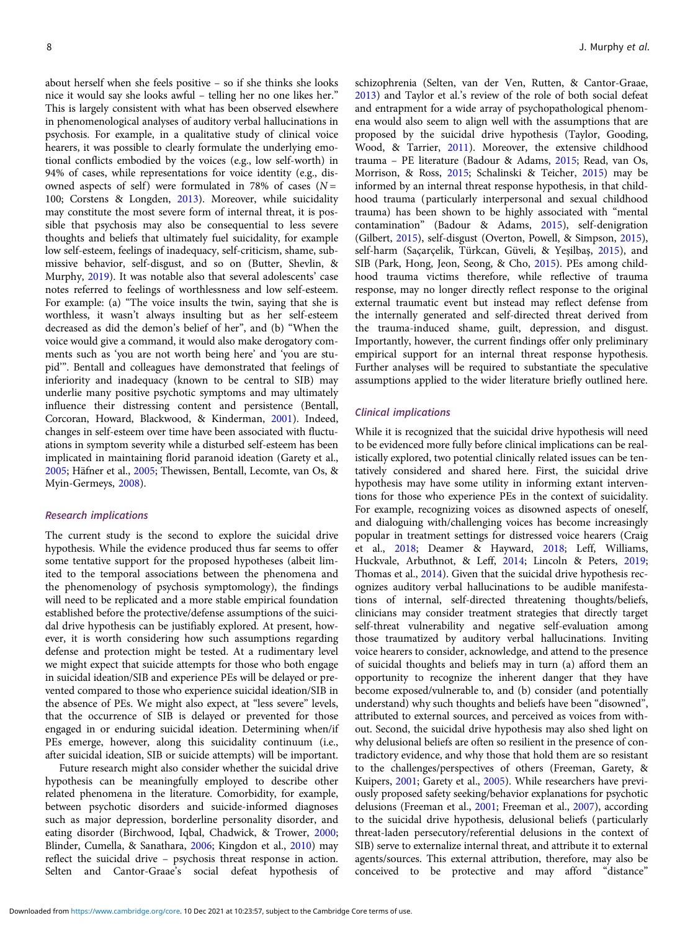about herself when she feels positive – so if she thinks she looks nice it would say she looks awful – telling her no one likes her." This is largely consistent with what has been observed elsewhere in phenomenological analyses of auditory verbal hallucinations in psychosis. For example, in a qualitative study of clinical voice hearers, it was possible to clearly formulate the underlying emotional conflicts embodied by the voices (e.g., low self-worth) in 94% of cases, while representations for voice identity (e.g., disowned aspects of self) were formulated in 78% of cases ( $N =$ 100; Corstens & Longden, [2013\)](#page-9-0). Moreover, while suicidality may constitute the most severe form of internal threat, it is possible that psychosis may also be consequential to less severe thoughts and beliefs that ultimately fuel suicidality, for example low self-esteem, feelings of inadequacy, self-criticism, shame, submissive behavior, self-disgust, and so on (Butter, Shevlin, & Murphy, [2019\)](#page-9-0). It was notable also that several adolescents' case notes referred to feelings of worthlessness and low self-esteem. For example: (a) "The voice insults the twin, saying that she is worthless, it wasn't always insulting but as her self-esteem decreased as did the demon's belief of her", and (b) "When the voice would give a command, it would also make derogatory comments such as 'you are not worth being here' and 'you are stupid'". Bentall and colleagues have demonstrated that feelings of inferiority and inadequacy (known to be central to SIB) may underlie many positive psychotic symptoms and may ultimately influence their distressing content and persistence (Bentall, Corcoran, Howard, Blackwood, & Kinderman, [2001\)](#page-9-0). Indeed, changes in self-esteem over time have been associated with fluctuations in symptom severity while a disturbed self-esteem has been implicated in maintaining florid paranoid ideation (Garety et al., [2005;](#page-9-0) Häfner et al., [2005;](#page-9-0) Thewissen, Bentall, Lecomte, van Os, & Myin-Germeys, [2008\)](#page-10-0).

## Research implications

The current study is the second to explore the suicidal drive hypothesis. While the evidence produced thus far seems to offer some tentative support for the proposed hypotheses (albeit limited to the temporal associations between the phenomena and the phenomenology of psychosis symptomology), the findings will need to be replicated and a more stable empirical foundation established before the protective/defense assumptions of the suicidal drive hypothesis can be justifiably explored. At present, however, it is worth considering how such assumptions regarding defense and protection might be tested. At a rudimentary level we might expect that suicide attempts for those who both engage in suicidal ideation/SIB and experience PEs will be delayed or prevented compared to those who experience suicidal ideation/SIB in the absence of PEs. We might also expect, at "less severe" levels, that the occurrence of SIB is delayed or prevented for those engaged in or enduring suicidal ideation. Determining when/if PEs emerge, however, along this suicidality continuum (i.e., after suicidal ideation, SIB or suicide attempts) will be important.

Future research might also consider whether the suicidal drive hypothesis can be meaningfully employed to describe other related phenomena in the literature. Comorbidity, for example, between psychotic disorders and suicide-informed diagnoses such as major depression, borderline personality disorder, and eating disorder (Birchwood, Iqbal, Chadwick, & Trower, [2000;](#page-9-0) Blinder, Cumella, & Sanathara, [2006](#page-9-0); Kingdon et al., [2010](#page-9-0)) may reflect the suicidal drive – psychosis threat response in action. Selten and Cantor-Graae's social defeat hypothesis of

schizophrenia (Selten, van der Ven, Rutten, & Cantor-Graae, [2013](#page-10-0)) and Taylor et al.'s review of the role of both social defeat and entrapment for a wide array of psychopathological phenomena would also seem to align well with the assumptions that are proposed by the suicidal drive hypothesis (Taylor, Gooding, Wood, & Tarrier, [2011](#page-10-0)). Moreover, the extensive childhood trauma – PE literature (Badour & Adams, [2015;](#page-8-0) Read, van Os, Morrison, & Ross, [2015;](#page-10-0) Schalinski & Teicher, [2015\)](#page-10-0) may be informed by an internal threat response hypothesis, in that childhood trauma (particularly interpersonal and sexual childhood trauma) has been shown to be highly associated with "mental contamination" (Badour & Adams, [2015\)](#page-8-0), self-denigration (Gilbert, [2015](#page-9-0)), self-disgust (Overton, Powell, & Simpson, [2015](#page-10-0)), self-harm (Saçarçelik, Türkcan, Güveli, & Yeşilbaş, [2015](#page-10-0)), and SIB (Park, Hong, Jeon, Seong, & Cho, [2015](#page-10-0)). PEs among childhood trauma victims therefore, while reflective of trauma response, may no longer directly reflect response to the original external traumatic event but instead may reflect defense from the internally generated and self-directed threat derived from the trauma-induced shame, guilt, depression, and disgust. Importantly, however, the current findings offer only preliminary empirical support for an internal threat response hypothesis. Further analyses will be required to substantiate the speculative assumptions applied to the wider literature briefly outlined here.

#### Clinical implications

While it is recognized that the suicidal drive hypothesis will need to be evidenced more fully before clinical implications can be realistically explored, two potential clinically related issues can be tentatively considered and shared here. First, the suicidal drive hypothesis may have some utility in informing extant interventions for those who experience PEs in the context of suicidality. For example, recognizing voices as disowned aspects of oneself, and dialoguing with/challenging voices has become increasingly popular in treatment settings for distressed voice hearers (Craig et al., [2018](#page-9-0); Deamer & Hayward, [2018](#page-9-0); Leff, Williams, Huckvale, Arbuthnot, & Leff, [2014](#page-10-0); Lincoln & Peters, [2019](#page-10-0); Thomas et al., [2014](#page-10-0)). Given that the suicidal drive hypothesis recognizes auditory verbal hallucinations to be audible manifestations of internal, self-directed threatening thoughts/beliefs, clinicians may consider treatment strategies that directly target self-threat vulnerability and negative self-evaluation among those traumatized by auditory verbal hallucinations. Inviting voice hearers to consider, acknowledge, and attend to the presence of suicidal thoughts and beliefs may in turn (a) afford them an opportunity to recognize the inherent danger that they have become exposed/vulnerable to, and (b) consider (and potentially understand) why such thoughts and beliefs have been "disowned", attributed to external sources, and perceived as voices from without. Second, the suicidal drive hypothesis may also shed light on why delusional beliefs are often so resilient in the presence of contradictory evidence, and why those that hold them are so resistant to the challenges/perspectives of others (Freeman, Garety, & Kuipers, [2001;](#page-9-0) Garety et al., [2005\)](#page-9-0). While researchers have previously proposed safety seeking/behavior explanations for psychotic delusions (Freeman et al., [2001](#page-9-0); Freeman et al., [2007\)](#page-9-0), according to the suicidal drive hypothesis, delusional beliefs (particularly threat-laden persecutory/referential delusions in the context of SIB) serve to externalize internal threat, and attribute it to external agents/sources. This external attribution, therefore, may also be conceived to be protective and may afford "distance"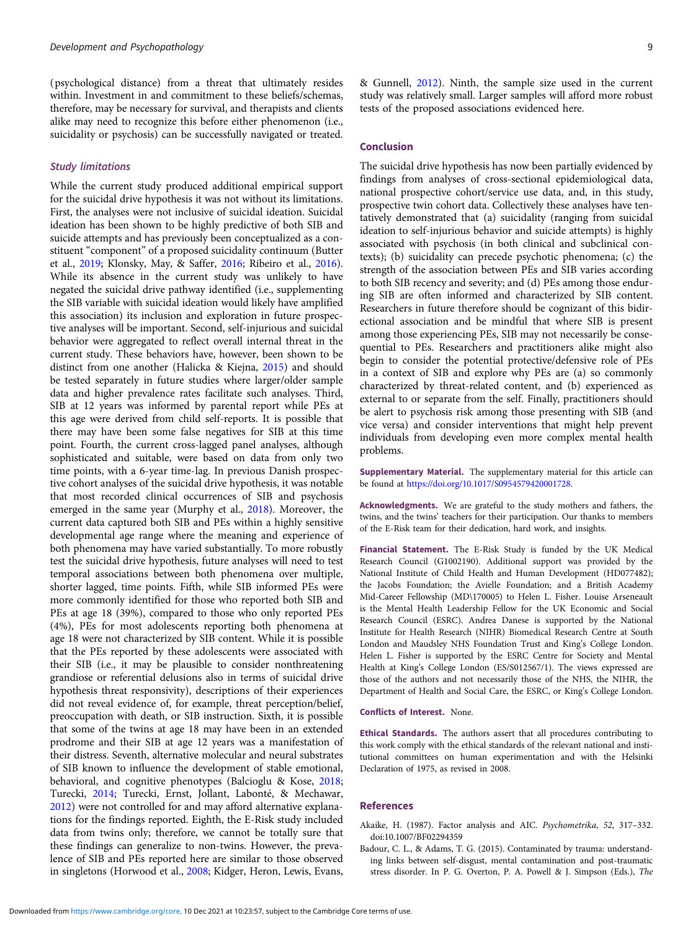<span id="page-8-0"></span>(psychological distance) from a threat that ultimately resides within. Investment in and commitment to these beliefs/schemas, therefore, may be necessary for survival, and therapists and clients alike may need to recognize this before either phenomenon (i.e., suicidality or psychosis) can be successfully navigated or treated.

#### Study limitations

While the current study produced additional empirical support for the suicidal drive hypothesis it was not without its limitations. First, the analyses were not inclusive of suicidal ideation. Suicidal ideation has been shown to be highly predictive of both SIB and suicide attempts and has previously been conceptualized as a constituent "component" of a proposed suicidality continuum (Butter et al., [2019;](#page-9-0) Klonsky, May, & Saffer, [2016](#page-9-0); Ribeiro et al., [2016\)](#page-10-0). While its absence in the current study was unlikely to have negated the suicidal drive pathway identified (i.e., supplementing the SIB variable with suicidal ideation would likely have amplified this association) its inclusion and exploration in future prospective analyses will be important. Second, self-injurious and suicidal behavior were aggregated to reflect overall internal threat in the current study. These behaviors have, however, been shown to be distinct from one another (Halicka & Kiejna, [2015\)](#page-9-0) and should be tested separately in future studies where larger/older sample data and higher prevalence rates facilitate such analyses. Third, SIB at 12 years was informed by parental report while PEs at this age were derived from child self-reports. It is possible that there may have been some false negatives for SIB at this time point. Fourth, the current cross-lagged panel analyses, although sophisticated and suitable, were based on data from only two time points, with a 6-year time-lag. In previous Danish prospective cohort analyses of the suicidal drive hypothesis, it was notable that most recorded clinical occurrences of SIB and psychosis emerged in the same year (Murphy et al., [2018\)](#page-10-0). Moreover, the current data captured both SIB and PEs within a highly sensitive developmental age range where the meaning and experience of both phenomena may have varied substantially. To more robustly test the suicidal drive hypothesis, future analyses will need to test temporal associations between both phenomena over multiple, shorter lagged, time points. Fifth, while SIB informed PEs were more commonly identified for those who reported both SIB and PEs at age 18 (39%), compared to those who only reported PEs (4%), PEs for most adolescents reporting both phenomena at age 18 were not characterized by SIB content. While it is possible that the PEs reported by these adolescents were associated with their SIB (i.e., it may be plausible to consider nonthreatening grandiose or referential delusions also in terms of suicidal drive hypothesis threat responsivity), descriptions of their experiences did not reveal evidence of, for example, threat perception/belief, preoccupation with death, or SIB instruction. Sixth, it is possible that some of the twins at age 18 may have been in an extended prodrome and their SIB at age 12 years was a manifestation of their distress. Seventh, alternative molecular and neural substrates of SIB known to influence the development of stable emotional, behavioral, and cognitive phenotypes (Balcioglu & Kose, [2018;](#page-9-0) Turecki, [2014](#page-10-0); Turecki, Ernst, Jollant, Labonté, & Mechawar, [2012\)](#page-10-0) were not controlled for and may afford alternative explanations for the findings reported. Eighth, the E-Risk study included data from twins only; therefore, we cannot be totally sure that these findings can generalize to non-twins. However, the prevalence of SIB and PEs reported here are similar to those observed in singletons (Horwood et al., [2008](#page-9-0); Kidger, Heron, Lewis, Evans,

& Gunnell, [2012\)](#page-9-0). Ninth, the sample size used in the current study was relatively small. Larger samples will afford more robust tests of the proposed associations evidenced here.

#### **Conclusion**

The suicidal drive hypothesis has now been partially evidenced by findings from analyses of cross-sectional epidemiological data, national prospective cohort/service use data, and, in this study, prospective twin cohort data. Collectively these analyses have tentatively demonstrated that (a) suicidality (ranging from suicidal ideation to self-injurious behavior and suicide attempts) is highly associated with psychosis (in both clinical and subclinical contexts); (b) suicidality can precede psychotic phenomena; (c) the strength of the association between PEs and SIB varies according to both SIB recency and severity; and (d) PEs among those enduring SIB are often informed and characterized by SIB content. Researchers in future therefore should be cognizant of this bidirectional association and be mindful that where SIB is present among those experiencing PEs, SIB may not necessarily be consequential to PEs. Researchers and practitioners alike might also begin to consider the potential protective/defensive role of PEs in a context of SIB and explore why PEs are (a) so commonly characterized by threat-related content, and (b) experienced as external to or separate from the self. Finally, practitioners should be alert to psychosis risk among those presenting with SIB (and vice versa) and consider interventions that might help prevent individuals from developing even more complex mental health problems.

Supplementary Material. The supplementary material for this article can be found at [https://doi.org/10.1017/S0954579420001728.](https://doi.org/10.1017/S0954579420001728)

Acknowledgments. We are grateful to the study mothers and fathers, the twins, and the twins' teachers for their participation. Our thanks to members of the E-Risk team for their dedication, hard work, and insights.

Financial Statement. The E-Risk Study is funded by the UK Medical Research Council (G1002190). Additional support was provided by the National Institute of Child Health and Human Development (HD077482); the Jacobs Foundation; the Avielle Foundation; and a British Academy Mid-Career Fellowship (MD\170005) to Helen L. Fisher. Louise Arseneault is the Mental Health Leadership Fellow for the UK Economic and Social Research Council (ESRC). Andrea Danese is supported by the National Institute for Health Research (NIHR) Biomedical Research Centre at South London and Maudsley NHS Foundation Trust and King's College London. Helen L. Fisher is supported by the ESRC Centre for Society and Mental Health at King's College London (ES/S012567/1). The views expressed are those of the authors and not necessarily those of the NHS, the NIHR, the Department of Health and Social Care, the ESRC, or King's College London.

#### Conflicts of Interest. None.

Ethical Standards. The authors assert that all procedures contributing to this work comply with the ethical standards of the relevant national and institutional committees on human experimentation and with the Helsinki Declaration of 1975, as revised in 2008.

#### References

- Akaike, H. (1987). Factor analysis and AIC. Psychometrika, 52, 317–332. doi:10.1007/BF02294359
- Badour, C. L., & Adams, T. G. (2015). Contaminated by trauma: understanding links between self-disgust, mental contamination and post-traumatic stress disorder. In P. G. Overton, P. A. Powell & J. Simpson (Eds.), The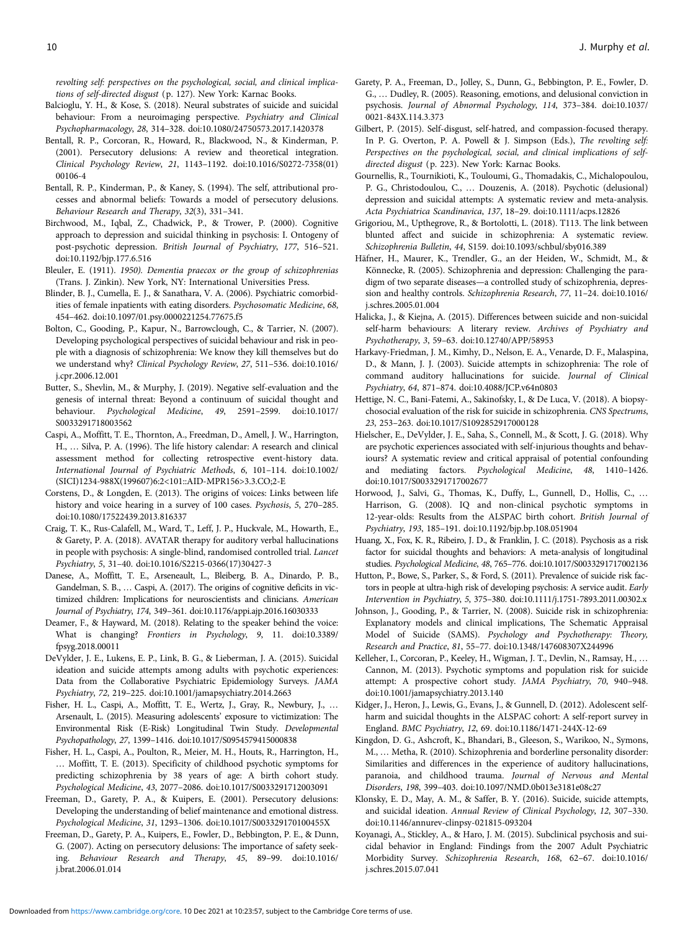<span id="page-9-0"></span>revolting self: perspectives on the psychological, social, and clinical implications of self-directed disgust (p. 127). New York: Karnac Books.

- Balcioglu, Y. H., & Kose, S. (2018). Neural substrates of suicide and suicidal behaviour: From a neuroimaging perspective. Psychiatry and Clinical Psychopharmacology, 28, 314–328. doi:10.1080/24750573.2017.1420378
- Bentall, R. P., Corcoran, R., Howard, R., Blackwood, N., & Kinderman, P. (2001). Persecutory delusions: A review and theoretical integration. Clinical Psychology Review, 21, 1143–1192. doi:10.1016/S0272-7358(01) 00106-4
- Bentall, R. P., Kinderman, P., & Kaney, S. (1994). The self, attributional processes and abnormal beliefs: Towards a model of persecutory delusions. Behaviour Research and Therapy, 32(3), 331–341.
- Birchwood, M., Iqbal, Z., Chadwick, P., & Trower, P. (2000). Cognitive approach to depression and suicidal thinking in psychosis: I. Ontogeny of post-psychotic depression. British Journal of Psychiatry, 177, 516–521. doi:10.1192/bjp.177.6.516
- Bleuler, E. (1911). 1950). Dementia praecox or the group of schizophrenias (Trans. J. Zinkin). New York, NY: International Universities Press.
- Blinder, B. J., Cumella, E. J., & Sanathara, V. A. (2006). Psychiatric comorbidities of female inpatients with eating disorders. Psychosomatic Medicine, 68, 454–462. doi:10.1097/01.psy.0000221254.77675.f5
- Bolton, C., Gooding, P., Kapur, N., Barrowclough, C., & Tarrier, N. (2007). Developing psychological perspectives of suicidal behaviour and risk in people with a diagnosis of schizophrenia: We know they kill themselves but do we understand why? Clinical Psychology Review, 27, 511–536. doi:10.1016/ j.cpr.2006.12.001
- Butter, S., Shevlin, M., & Murphy, J. (2019). Negative self-evaluation and the genesis of internal threat: Beyond a continuum of suicidal thought and behaviour. Psychological Medicine, 49, 2591–2599. doi:10.1017/ S0033291718003562
- Caspi, A., Moffitt, T. E., Thornton, A., Freedman, D., Amell, J. W., Harrington, H., … Silva, P. A. (1996). The life history calendar: A research and clinical assessment method for collecting retrospective event-history data. International Journal of Psychiatric Methods, 6, 101–114. doi:10.1002/ (SICI)1234-988X(199607)6:2<101::AID-MPR156>3.3.CO;2-E
- Corstens, D., & Longden, E. (2013). The origins of voices: Links between life history and voice hearing in a survey of 100 cases. Psychosis, 5, 270–285. doi:10.1080/17522439.2013.816337
- Craig, T. K., Rus-Calafell, M., Ward, T., Leff, J. P., Huckvale, M., Howarth, E., & Garety, P. A. (2018). AVATAR therapy for auditory verbal hallucinations in people with psychosis: A single-blind, randomised controlled trial. Lancet Psychiatry, 5, 31–40. doi:10.1016/S2215-0366(17)30427-3
- Danese, A., Moffitt, T. E., Arseneault, L., Bleiberg, B. A., Dinardo, P. B., Gandelman, S. B., … Caspi, A. (2017). The origins of cognitive deficits in victimized children: Implications for neuroscientists and clinicians. American Journal of Psychiatry, 174, 349–361. doi:10.1176/appi.ajp.2016.16030333
- Deamer, F., & Hayward, M. (2018). Relating to the speaker behind the voice: What is changing? Frontiers in Psychology, 9, 11. doi:10.3389/ fpsyg.2018.00011
- DeVylder, J. E., Lukens, E. P., Link, B. G., & Lieberman, J. A. (2015). Suicidal ideation and suicide attempts among adults with psychotic experiences: Data from the Collaborative Psychiatric Epidemiology Surveys. JAMA Psychiatry, 72, 219–225. doi:10.1001/jamapsychiatry.2014.2663
- Fisher, H. L., Caspi, A., Moffitt, T. E., Wertz, J., Gray, R., Newbury, J., … Arsenault, L. (2015). Measuring adolescents' exposure to victimization: The Environmental Risk (E-Risk) Longitudinal Twin Study. Developmental Psychopathology, 27, 1399–1416. doi:10.1017/S0954579415000838
- Fisher, H. L., Caspi, A., Poulton, R., Meier, M. H., Houts, R., Harrington, H., … Moffitt, T. E. (2013). Specificity of childhood psychotic symptoms for predicting schizophrenia by 38 years of age: A birth cohort study. Psychological Medicine, 43, 2077–2086. doi:10.1017/S0033291712003091
- Freeman, D., Garety, P. A., & Kuipers, E. (2001). Persecutory delusions: Developing the understanding of belief maintenance and emotional distress. Psychological Medicine, 31, 1293–1306. doi:10.1017/S003329170100455X
- Freeman, D., Garety, P. A., Kuipers, E., Fowler, D., Bebbington, P. E., & Dunn, G. (2007). Acting on persecutory delusions: The importance of safety seeking. Behaviour Research and Therapy, 45, 89–99. doi:10.1016/ j.brat.2006.01.014
- Garety, P. A., Freeman, D., Jolley, S., Dunn, G., Bebbington, P. E., Fowler, D. G., … Dudley, R. (2005). Reasoning, emotions, and delusional conviction in psychosis. Journal of Abnormal Psychology, 114, 373–384. doi:10.1037/ 0021-843X.114.3.373
- Gilbert, P. (2015). Self-disgust, self-hatred, and compassion-focused therapy. In P. G. Overton, P. A. Powell & J. Simpson (Eds.), The revolting self: Perspectives on the psychological, social, and clinical implications of selfdirected disgust (p. 223). New York: Karnac Books.
- Gournellis, R., Tournikioti, K., Touloumi, G., Thomadakis, C., Michalopoulou, P. G., Christodoulou, C., … Douzenis, A. (2018). Psychotic (delusional) depression and suicidal attempts: A systematic review and meta-analysis. Acta Psychiatrica Scandinavica, 137, 18–29. doi:10.1111/acps.12826
- Grigoriou, M., Upthegrove, R., & Bortolotti, L. (2018). T113. The link between blunted affect and suicide in schizophrenia: A systematic review. Schizophrenia Bulletin, 44, S159. doi:10.1093/schbul/sby016.389
- Häfner, H., Maurer, K., Trendler, G., an der Heiden, W., Schmidt, M., & Könnecke, R. (2005). Schizophrenia and depression: Challenging the paradigm of two separate diseases—a controlled study of schizophrenia, depression and healthy controls. Schizophrenia Research, 77, 11–24. doi:10.1016/ j.schres.2005.01.004
- Halicka, J., & Kiejna, A. (2015). Differences between suicide and non-suicidal self-harm behaviours: A literary review. Archives of Psychiatry and Psychotherapy, 3, 59–63. doi:10.12740/APP/58953
- Harkavy-Friedman, J. M., Kimhy, D., Nelson, E. A., Venarde, D. F., Malaspina, D., & Mann, J. J. (2003). Suicide attempts in schizophrenia: The role of command auditory hallucinations for suicide. Journal of Clinical Psychiatry, 64, 871–874. doi:10.4088/JCP.v64n0803
- Hettige, N. C., Bani-Fatemi, A., Sakinofsky, I., & De Luca, V. (2018). A biopsychosocial evaluation of the risk for suicide in schizophrenia. CNS Spectrums, 23, 253–263. doi:10.1017/S1092852917000128
- Hielscher, E., DeVylder, J. E., Saha, S., Connell, M., & Scott, J. G. (2018). Why are psychotic experiences associated with self-injurious thoughts and behaviours? A systematic review and critical appraisal of potential confounding and mediating factors. Psychological Medicine, 48, 1410–1426. doi:10.1017/S0033291717002677
- Horwood, J., Salvi, G., Thomas, K., Duffy, L., Gunnell, D., Hollis, C., … Harrison, G. (2008). IQ and non-clinical psychotic symptoms in 12-year-olds: Results from the ALSPAC birth cohort. British Journal of Psychiatry, 193, 185–191. doi:10.1192/bjp.bp.108.051904
- Huang, X., Fox, K. R., Ribeiro, J. D., & Franklin, J. C. (2018). Psychosis as a risk factor for suicidal thoughts and behaviors: A meta-analysis of longitudinal studies. Psychological Medicine, 48, 765–776. doi:10.1017/S0033291717002136
- Hutton, P., Bowe, S., Parker, S., & Ford, S. (2011). Prevalence of suicide risk factors in people at ultra-high risk of developing psychosis: A service audit. Early Intervention in Psychiatry, 5, 375–380. doi:10.1111/j.1751-7893.2011.00302.x
- Johnson, J., Gooding, P., & Tarrier, N. (2008). Suicide risk in schizophrenia: Explanatory models and clinical implications, The Schematic Appraisal Model of Suicide (SAMS). Psychology and Psychotherapy: Theory, Research and Practice, 81, 55–77. doi:10.1348/147608307X244996
- Kelleher, I., Corcoran, P., Keeley, H., Wigman, J. T., Devlin, N., Ramsay, H., … Cannon, M. (2013). Psychotic symptoms and population risk for suicide attempt: A prospective cohort study. JAMA Psychiatry, 70, 940–948. doi:10.1001/jamapsychiatry.2013.140
- Kidger, J., Heron, J., Lewis, G., Evans, J., & Gunnell, D. (2012). Adolescent selfharm and suicidal thoughts in the ALSPAC cohort: A self-report survey in England. BMC Psychiatry, 12, 69. doi:10.1186/1471-244X-12-69
- Kingdon, D. G., Ashcroft, K., Bhandari, B., Gleeson, S., Warikoo, N., Symons, M., … Metha, R. (2010). Schizophrenia and borderline personality disorder: Similarities and differences in the experience of auditory hallucinations, paranoia, and childhood trauma. Journal of Nervous and Mental Disorders, 198, 399–403. doi:10.1097/NMD.0b013e3181e08c27
- Klonsky, E. D., May, A. M., & Saffer, B. Y. (2016). Suicide, suicide attempts, and suicidal ideation. Annual Review of Clinical Psychology, 12, 307–330. doi:10.1146/annurev-clinpsy-021815-093204
- Koyanagi, A., Stickley, A., & Haro, J. M. (2015). Subclinical psychosis and suicidal behavior in England: Findings from the 2007 Adult Psychiatric Morbidity Survey. Schizophrenia Research, 168, 62–67. doi:10.1016/ j.schres.2015.07.041